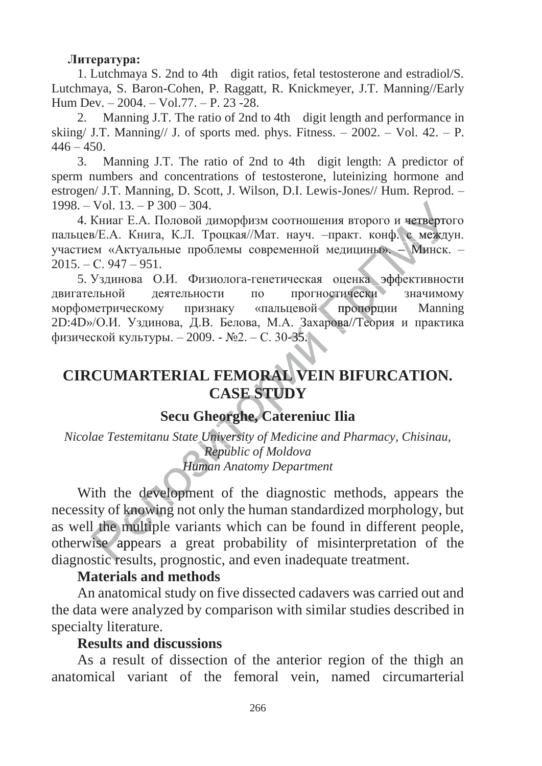#### **Литература:**

1. Lutchmaya S. 2nd to 4th digit ratios, fetal testosterone and estradiol/S. Lutchmaya, S. Baron-Cohen, P. Raggatt, R. Knickmeyer, J.T. Manning//Early Hum Dev. – 2004. – Vol.77. – P. 23 -28.

2. Manning J.T. The ratio of 2nd to 4th digit length and performance in skiing/ J.T. Manning// J. of sports med. phys. Fitness.  $-2002 - Vol. 42 - P$ .  $446 - 450.$ 

3. Manning J.T. The ratio of 2nd to 4th digit length: A predictor of sperm numbers and concentrations of testosterone, luteinizing hormone and estrogen/ J.T. Manning, D. Scott, J. Wilson, D.I. Lewis-Jones// Hum. Reprod. –  $1998. - Vol. 13. - P. 300 - 304.$ 

4. Книаг Е.А. Половой диморфизм соотношения второго и четвертого пальцев/Е.А. Книга, К.Л. Троцкая//Мат. науч. - практ. конф. с междун.<br>участием «Актуальные проблемы современной медицины». - Минск. -<br>2015. - С. 947 - 951.<br>5. Уздинова О.И. Физиолога-генетическая оценка эффективности<br>двиг участием «Актуальные проблемы современной медицины». - Минск. - $2015. - C. 947 - 951.$ и четверто<br>0. с между<br>– Минск.<br>фективнос между

5. Уздинова О.И. Физиолога-генетическая оценка эффективности двигательной деятельности по прогностически значимому морфометрическому признаку «пальцевой пропорции Manning двигательнои деятельности по прогностически значимому<br>морфометрическому признаку «пальцевой пропорции Manning<br>2D:4D»/О.И. Уздинова, Д.В. Белова, М.А. Захарова//Теория и практика физической культуры. – 2009. - №2. – С. 30-35. **CIRCUMARTERIAL FEMORAL VEIN BIFURCATION.**<br>
CIRCUMARTERIAL FEMORAL VEIN BIFURCATION. про денка<br>ически<br>ропорці ропорци ика<br>ика эфф каэфф

# **CASE STUDY E S STUDY SECU GREAL FEMORAL VEIN BILL CASE STUDY**<br> **Secu Gheorghe, Catereniuc Ilia**<br> *uu State University of Medicine and Pha*

*Nicolae Testemitanu State University of Medicine and Pharmacy, Chisinau,*<br> *Republic of Moldova*<br> **Human Anatomy Department** *Republic of Moldova Repub Human Anatomy Department* 

Human Anatomy Department<br>With the development of the diagnostic methods, appears the<br>ssity of knowing not only the human standardized morphology, but necessity of knowing not only the human standardized morphology, but necessity of knowing not only the human standardized morphology, but<br>as well the multiple variants which can be found in different people,<br>otherwise appears a great probability of misinterpretation of the<br>diagnostic result otherwise appears a great probability of misinterpretation of the diagnostic results, prognostic, and even inadequate treatment.

# **Materials and methods**

An anatomical study on five dissected cadavers was carried out and the data were analyzed by comparison with similar studies described in specialty literature.

## **Results and discussions**

As a result of dissection of the anterior region of the thigh an anatomical variant of the femoral vein, named circumarterial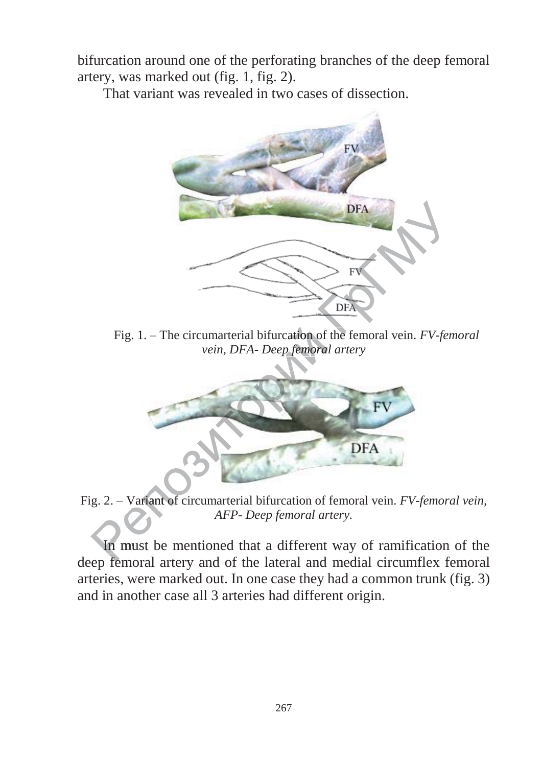bifurcation around one of the perforating branches of the deep femoral artery, was marked out (fig. 1, fig. 2).

That variant was revealed in two cases of dissection.



Fig. 1. – The circumarterial bifurcation of the femoral vein. *FV-femoral vein*, *DFA- Deep femoral artery vein, DFA- Deep femoral artery femoral*



Fig. 2. *–* Variant of circumarterial bifurcation of femoral vein. *FV-femoral vein, AFP- Deep femoral artery.*  Variant o

In must be mentioned that a different way of ramification of the deep femoral artery.<br>
The must be mentioned that a different way of ramification of the deep femoral artery and of the lateral and medial circumflex femoral arteries, were marked out. In one case they had a common trunk (fig. 3) and in another case all 3 arteries had different origin.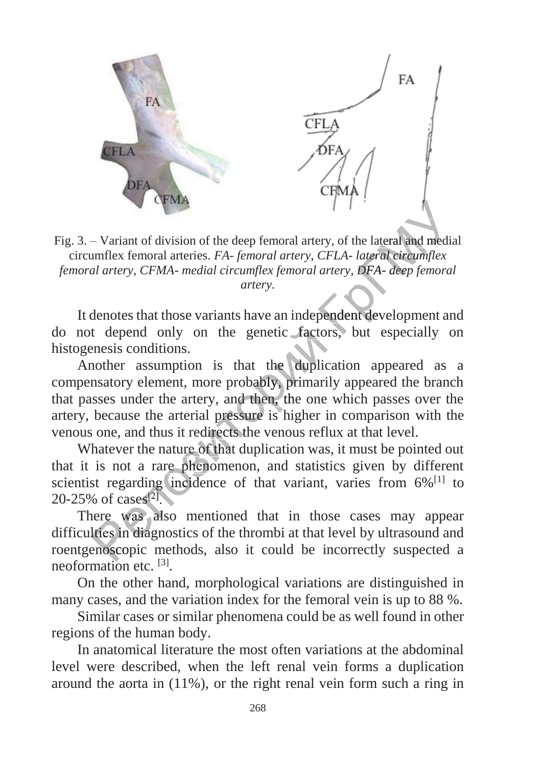

Fig. 3. – Variant of division of the deep femoral artery, of the lateral and medial circumflex femoral arteries. FA- femoral artery, CFLA- lateral circumflex femoral artery, CFMA- medial circumflex femoral artery, DFA- deep femoral artery.

It denotes that those variants have an independent development and do not depend only on the genetic factors, but especially on histogenesis conditions.

Another assumption is that the duplication appeared as a compensatory element, more probably, primarily appeared the branch that passes under the artery, and then, the one which passes over the artery, because the arterial pressure is higher in comparison with the venous one, and thus it redirects the venous reflux at that level.

Whatever the nature of that duplication was, it must be pointed out that it is not a rare phenomenon, and statistics given by different scientist regarding incidence of that variant, varies from  $6\%$ <sup>[1]</sup> to 20-25% of cases<sup>[2]</sup>.

There was also mentioned that in those cases may appear difficulties in diagnostics of the thrombi at that level by ultrasound and roentgenoscopic methods, also it could be incorrectly suspected a neoformation etc. [3].

On the other hand, morphological variations are distinguished in many cases, and the variation index for the femoral vein is up to 88 %.

Similar cases or similar phenomena could be as well found in other regions of the human body.

In anatomical literature the most often variations at the abdominal level were described, when the left renal vein forms a duplication around the aorta in  $(11\%)$ , or the right renal vein form such a ring in